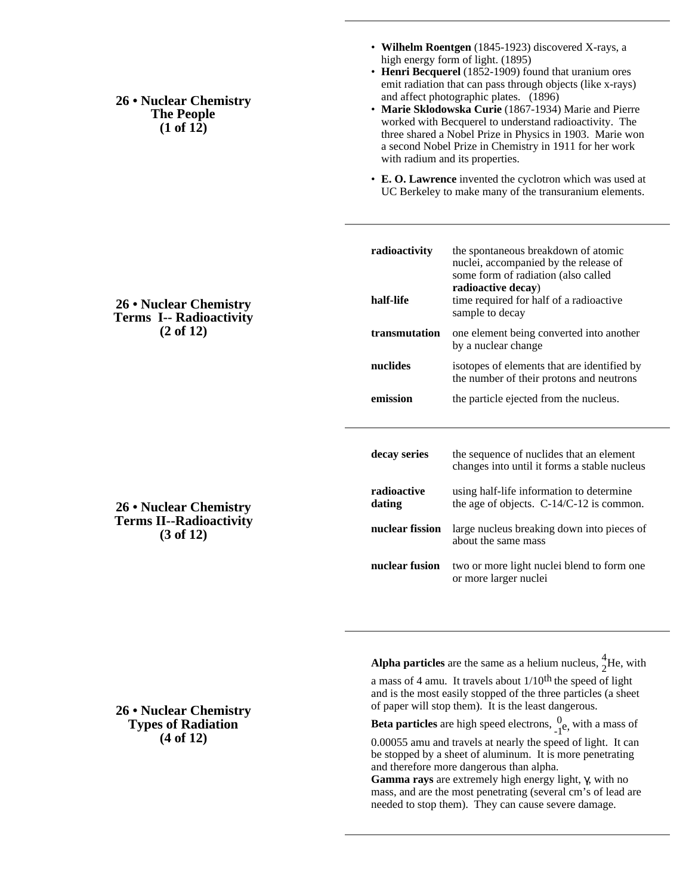**26 • Nuclear Chemistry The People (1 of 12)**

- **Wilhelm Roentgen** (1845-1923) discovered X-rays, a high energy form of light. (1895)
- **Henri Becquerel** (1852-1909) found that uranium ores emit radiation that can pass through objects (like x-rays) and affect photographic plates. (1896)
- **Marie Sklodowska Curie** (1867-1934) Marie and Pierre worked with Becquerel to understand radioactivity. The three shared a Nobel Prize in Physics in 1903. Marie won a second Nobel Prize in Chemistry in 1911 for her work with radium and its properties.
- **E. O. Lawrence** invented the cyclotron which was used at UC Berkeley to make many of the transuranium elements.

| radioactivity<br>half-life | the spontaneous breakdown of atomic<br>nuclei, accompanied by the release of<br>some form of radiation (also called<br>radioactive decay)<br>time required for half of a radioactive<br>sample to decay |
|----------------------------|---------------------------------------------------------------------------------------------------------------------------------------------------------------------------------------------------------|
| transmutation              | one element being converted into another<br>by a nuclear change                                                                                                                                         |
| nuclides                   | isotopes of elements that are identified by<br>the number of their protons and neutrons                                                                                                                 |
| emission                   | the particle ejected from the nucleus.                                                                                                                                                                  |
| decay series               | the sequence of nuclides that an element<br>changes into until it forms a stable nucleus                                                                                                                |
| radioactive<br>dating      | using half-life information to determine<br>the age of objects. $C-14/C-12$ is common.                                                                                                                  |
| nuclear fission            | large nucleus breaking down into pieces of<br>about the same mass                                                                                                                                       |
| nuclear fusion             | two or more light nuclei blend to form one<br>or more larger nuclei                                                                                                                                     |

**(2 of 12)**

**26 • Nuclear Chemistry Terms I-- Radioactivity**

**26 • Nuclear Chemistry Terms II--Radioactivity (3 of 12)**

**Alpha particles** are the same as a helium nucleus,  $\frac{4}{2}$ He, with

a mass of 4 amu. It travels about  $1/10^{th}$  the speed of light and is the most easily stopped of the three particles (a sheet of paper will stop them). It is the least dangerous.

**Beta particles** are high speed electrons,  $\frac{0}{1}$ e, with a mass of

0.00055 amu and travels at nearly the speed of light. It can be stopped by a sheet of aluminum. It is more penetrating and therefore more dangerous than alpha.

**Gamma rays** are extremely high energy light, , with no mass, and are the most penetrating (several cm's of lead are needed to stop them). They can cause severe damage.

## **26 • Nuclear Chemistry Types of Radiation (4 of 12)**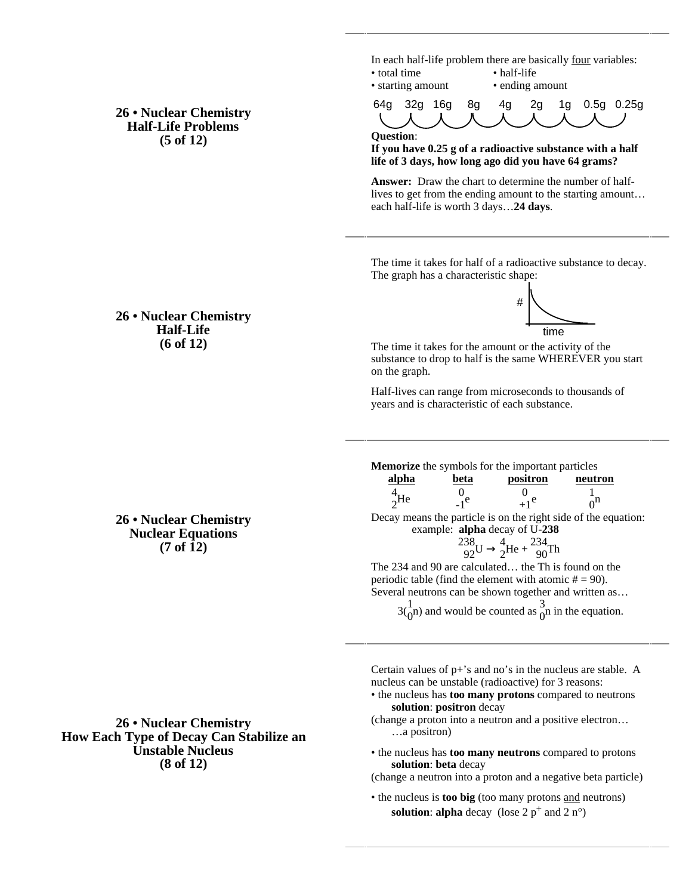**26 • Nuclear Chemistry Half-Life Problems (5 of 12)**

In each half-life problem there are basically four variables: • total time • half-life

• starting amount • ending amount

64g 32g 16g 8g 4g 2g 1g 0.5g 0.25g

**Question**:

**If you have 0.25 g of a radioactive substance with a half life of 3 days, how long ago did you have 64 grams?**

**Answer:** Draw the chart to determine the number of halflives to get from the ending amount to the starting amount… each half-life is worth 3 days…**24 days**.

The time it takes for half of a radioactive substance to decay. The graph has a characteristic shape:

## **26 • Nuclear Chemistry Half-Life (6 of 12)**

**26 • Nuclear Chemistry Nuclear Equations (7 of 12)**

**26 • Nuclear Chemistry How Each Type of Decay Can Stabilize an Unstable Nucleus (8 of 12)**



The time it takes for the amount or the activity of the substance to drop to half is the same WHEREVER you start on the graph.

Half-lives can range from microseconds to thousands of years and is characteristic of each substance.

**Memorize** the symbols for the important particles **alpha beta positron neutron** 4  $^{4}_{2}$ He  $^{0}_{-1}$  $^{0}_{-1}$ e  $\begin{matrix}0\\+1\end{matrix}$ e 1  $\int_0^1$ Decay means the particle is on the right side of the equation: example: **alpha** decay of U-**238**  $\frac{238}{92}$ U 4  $^{4}_{2}$ He +  $^{234}_{90}$ Th The 234 and 90 are calculated… the Th is found on the periodic table (find the element with atomic  $# = 90$ ). Several neutrons can be shown together and written as…  $3\binom{1}{0}$  and would be counted as  $\frac{3}{0}$  in the equation.

Certain values of p+'s and no's in the nucleus are stable. A nucleus can be unstable (radioactive) for 3 reasons:

- the nucleus has **too many protons** compared to neutrons **solution**: **positron** decay
- (change a proton into a neutron and a positive electron… …a positron)
- the nucleus has **too many neutrons** compared to protons **solution**: **beta** decay
- (change a neutron into a proton and a negative beta particle)
- the nucleus is **too big** (too many protons and neutrons) **solution: alpha** decay (lose  $2p^+$  and  $2n^{\circ}$ )